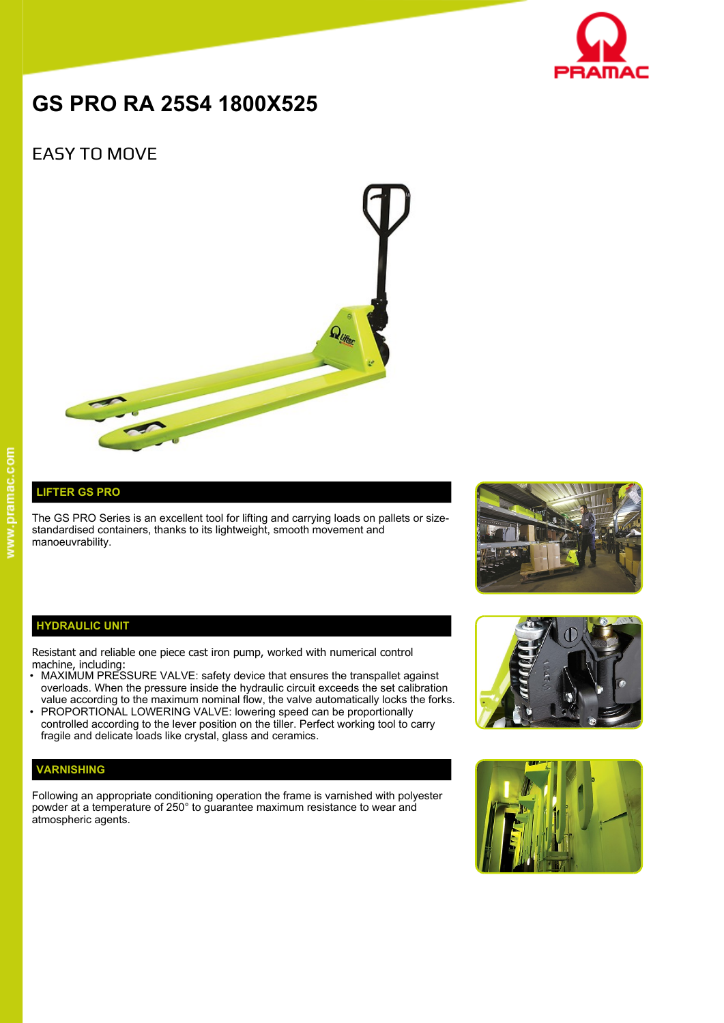

# **GS PRO RA 25S4 1800X525**

## EASY TO MOVE



### **LIFTER GS PRO**

The GS PRO Series is an excellent tool for lifting and carrying loads on pallets or sizestandardised containers, thanks to its lightweight, smooth movement and manoeuvrability.



#### **HYDRAULIC UNIT**

Resistant and reliable one piece cast iron pump, worked with numerical control machine, including:

- MAXIMUM PRESSURE VALVE: safety device that ensures the transpallet against overloads. When the pressure inside the hydraulic circuit exceeds the set calibration value according to the maximum nominal flow, the valve automatically locks the forks.
- PROPORTIONAL LOWERING VALVE: lowering speed can be proportionally controlled according to the lever position on the tiller. Perfect working tool to carry fragile and delicate loads like crystal, glass and ceramics.

#### **VARNISHING**

Following an appropriate conditioning operation the frame is varnished with polyester powder at a temperature of 250° to guarantee maximum resistance to wear and atmospheric agents.



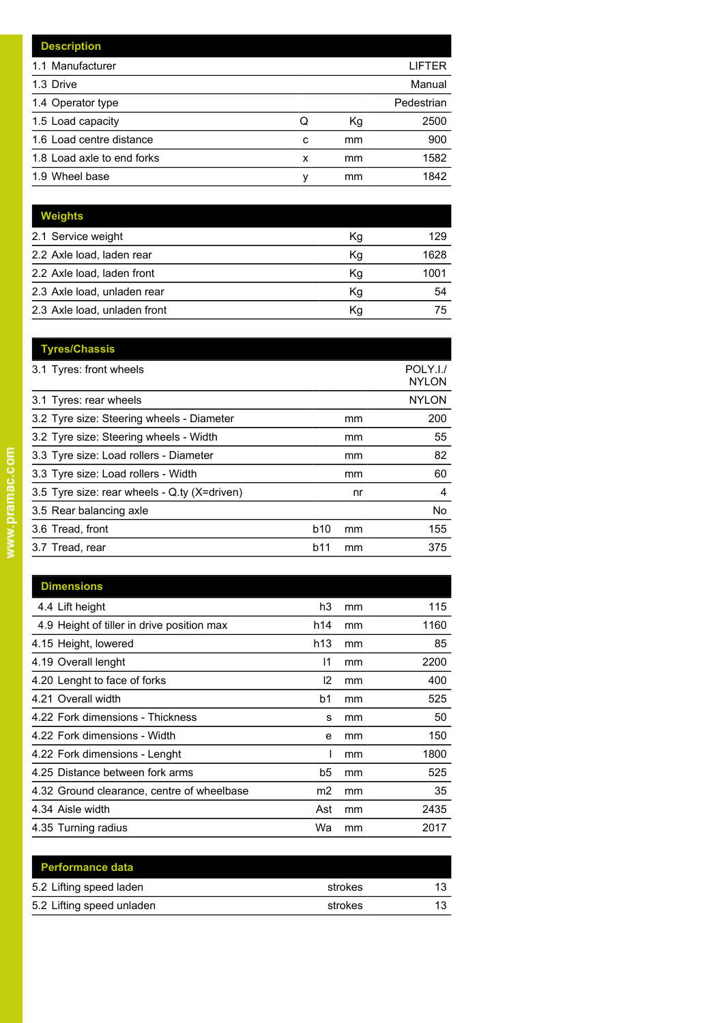| <b>Description</b>         |   |    |            |
|----------------------------|---|----|------------|
| 1.1 Manufacturer           |   |    | LIFTER     |
| 1.3 Drive                  |   |    | Manual     |
| 1.4 Operator type          |   |    | Pedestrian |
| 1.5 Load capacity          | Q | Кg | 2500       |
| 1.6 Load centre distance   | c | mm | 900        |
| 1.8 Load axle to end forks | x | mm | 1582       |
| 1.9 Wheel base             | v | mm | 1842       |

| <b>Weights</b>               |    |      |
|------------------------------|----|------|
| 2.1 Service weight           | Kg | 129  |
| 2.2 Axle load, laden rear    | Kg | 1628 |
| 2.2 Axle load, laden front   | Kg | 1001 |
| 2.3 Axle load, unladen rear  | Κq | 54   |
| 2.3 Axle load, unladen front | Κq | 75   |

| <b>Tyres/Chassis</b>                         |            |    |                          |
|----------------------------------------------|------------|----|--------------------------|
| 3.1 Tyres: front wheels                      |            |    | POLY.I./<br><b>NYLON</b> |
| 3.1 Tyres: rear wheels                       |            |    | <b>NYLON</b>             |
| 3.2 Tyre size: Steering wheels - Diameter    |            | mm | 200                      |
| 3.2 Tyre size: Steering wheels - Width       |            | mm | 55                       |
| 3.3 Tyre size: Load rollers - Diameter       |            | mm | 82                       |
| 3.3 Tyre size: Load rollers - Width          |            | mm | 60                       |
| 3.5 Tyre size: rear wheels - Q.ty (X=driven) |            | nr | 4                        |
| 3.5 Rear balancing axle                      |            |    | No                       |
| 3.6 Tread, front                             | <b>b10</b> | mm | 155                      |
| 3.7 Tread, rear                              | b11        | mm | 375                      |
|                                              |            |    |                          |

| <b>Dimensions</b>                          |                |    |      |
|--------------------------------------------|----------------|----|------|
| 4.4 Lift height                            | h3             | mm | 115  |
| 4.9 Height of tiller in drive position max | h14            | mm | 1160 |
| 4.15 Height, lowered                       | h13            | mm | 85   |
| 4.19 Overall lenght                        | 11             | mm | 2200 |
| 4.20 Lenght to face of forks               | 12             | mm | 400  |
| 4.21 Overall width                         | b <sub>1</sub> | mm | 525  |
| 4.22 Fork dimensions - Thickness           | s              | mm | 50   |
| 4.22 Fork dimensions - Width               | e              | mm | 150  |
| 4.22 Fork dimensions - Lenght              |                | mm | 1800 |
| 4.25 Distance between fork arms            | b5             | mm | 525  |
| 4.32 Ground clearance, centre of wheelbase | m2             | mm | 35   |
| 4.34 Aisle width                           | Ast            | mm | 2435 |
| 4.35 Turning radius                        | Wa             | mm | 2017 |

| <b>Performance data</b>   |         |    |
|---------------------------|---------|----|
| 5.2 Lifting speed laden   | strokes | 13 |
| 5.2 Lifting speed unladen | strokes | 13 |
|                           |         |    |